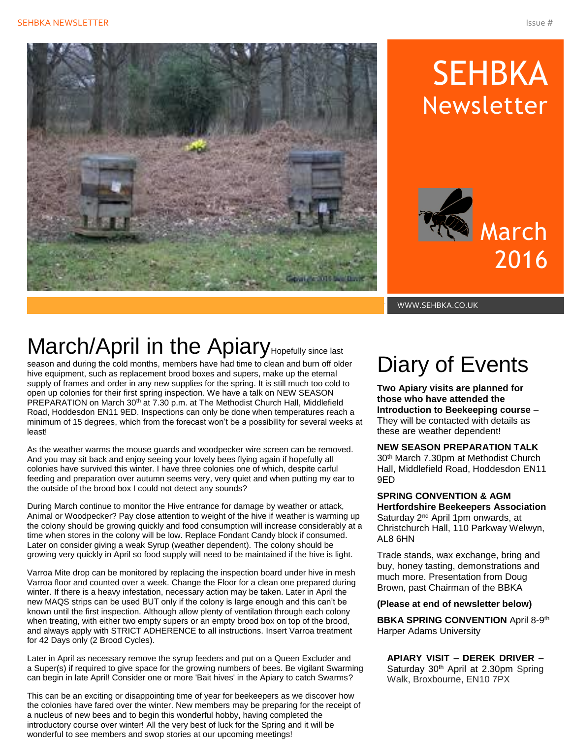

# **SEHBKA** Newsletter



WWW.SEHBKA.CO.UK

## March/April in the Apiary Hopefully since last

season and during the cold months, members have had time to clean and burn off older hive equipment, such as replacement brood boxes and supers, make up the eternal supply of frames and order in any new supplies for the spring. It is still much too cold to open up colonies for their first spring inspection. We have a talk on NEW SEASON PREPARATION on March 30<sup>th</sup> at 7.30 p.m. at The Methodist Church Hall, Middlefield Road, Hoddesdon EN11 9ED. Inspections can only be done when temperatures reach a minimum of 15 degrees, which from the forecast won't be a possibility for several weeks at least!

As the weather warms the mouse guards and woodpecker wire screen can be removed. And you may sit back and enjoy seeing your lovely bees flying again if hopefully all colonies have survived this winter. I have three colonies one of which, despite carful feeding and preparation over autumn seems very, very quiet and when putting my ear to the outside of the brood box I could not detect any sounds?

During March continue to monitor the Hive entrance for damage by weather or attack, Animal or Woodpecker? Pay close attention to weight of the hive if weather is warming up the colony should be growing quickly and food consumption will increase considerably at a time when stores in the colony will be low. Replace Fondant Candy block if consumed. Later on consider giving a weak Syrup (weather dependent). The colony should be growing very quickly in April so food supply will need to be maintained if the hive is light.

Varroa Mite drop can be monitored by replacing the inspection board under hive in mesh Varroa floor and counted over a week. Change the Floor for a clean one prepared during winter. If there is a heavy infestation, necessary action may be taken. Later in April the new MAQS strips can be used BUT only if the colony is large enough and this can't be known until the first inspection. Although allow plenty of ventilation through each colony when treating, with either two empty supers or an empty brood box on top of the brood, and always apply with STRICT ADHERENCE to all instructions. Insert Varroa treatment for 42 Days only (2 Brood Cycles).

Later in April as necessary remove the syrup feeders and put on a Queen Excluder and a Super(s) if required to give space for the growing numbers of bees. Be vigilant Swarming can begin in late April! Consider one or more 'Bait hives' in the Apiary to catch Swarms?

This can be an exciting or disappointing time of year for beekeepers as we discover how the colonies have fared over the winter. New members may be preparing for the receipt of a nucleus of new bees and to begin this wonderful hobby, having completed the introductory course over winter! All the very best of luck for the Spring and it will be wonderful to see members and swop stories at our upcoming meetings!

## Diary of Events

**Two Apiary visits are planned for those who have attended the Introduction to Beekeeping course** – They will be contacted with details as these are weather dependent!

#### **NEW SEASON PREPARATION TALK**

30th March 7.30pm at Methodist Church Hall, Middlefield Road, Hoddesdon EN11 9ED

#### **SPRING CONVENTION & AGM Hertfordshire Beekeepers Association**  Saturday 2nd April 1pm onwards, at

Christchurch Hall, 110 Parkway Welwyn, AL8 6HN

Trade stands, wax exchange, bring and buy, honey tasting, demonstrations and much more. Presentation from Doug Brown, past Chairman of the BBKA

#### **(Please at end of newsletter below)**

**BBKA SPRING CONVENTION** April 8-9<sup>th</sup> Harper Adams University

**APIARY VISIT – DEREK DRIVER –** Saturday 30<sup>th</sup> April at 2.30pm Spring Walk, Broxbourne, EN10 7PX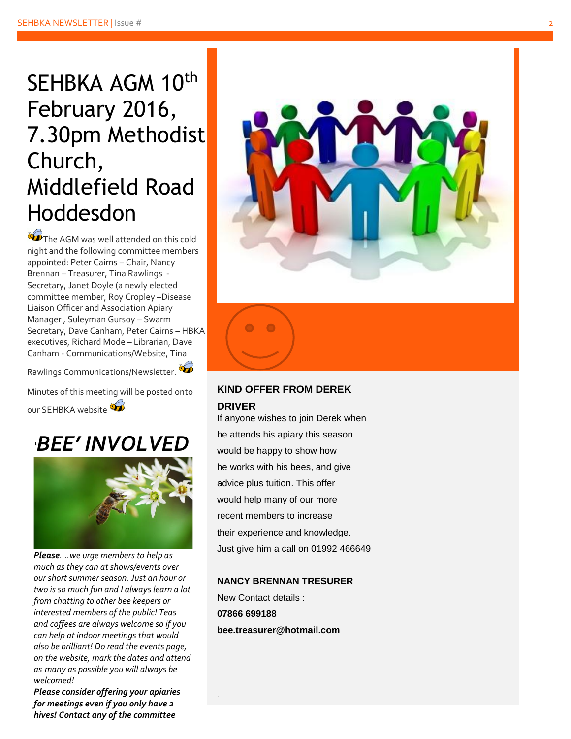## SEHBKA AGM 10<sup>th</sup> February 2016, 7.30pm Methodist Church, Middlefield Road Hoddesdon

 $\mathcal{L}_{\text{The AGM was well attended on this cold}}$ night and the following committee members appointed: Peter Cairns – Chair, Nancy Brennan – Treasurer, Tina Rawlings - Secretary, Janet Doyle (a newly elected committee member, Roy Cropley –Disease Liaison Officer and Association Apiary Manager , Suleyman Gursoy – Swarm Secretary, Dave Canham, Peter Cairns – HBKA executives, Richard Mode – Librarian, Dave Canham - Communications/Website, Tina

Rawlings Communications/Newsletter.

Minutes of this meeting will be posted onto our SEHBKA website





*Please….we urge members to help as much as they can at shows/events over our short summer season. Just an hour or two is so much fun and I always learn a lot from chatting to other bee keepers or interested members of the public! Teas and coffees are always welcome so if you can help at indoor meetings that would also be brilliant! Do read the events page, on the website, mark the dates and attend as many as possible you will always be welcome d !*

*Please consider offering your apiaries for meetings even if you only have 2 hives! Contact any of the committee*



#### **KIND OFFER FROM DEREK DRIVER**

If anyone wishes to join Derek when he attends his apiary this season would be happy to show how he works with his bees, and give advice plus tuition. This offer would help many of our more recent members to increase their experience and knowledge. Just give him a call on 01992 466649

#### **NANCY BRENNAN TRESURER**

New Contact details : **07866 699188 bee.treasurer@hotmail.com**

.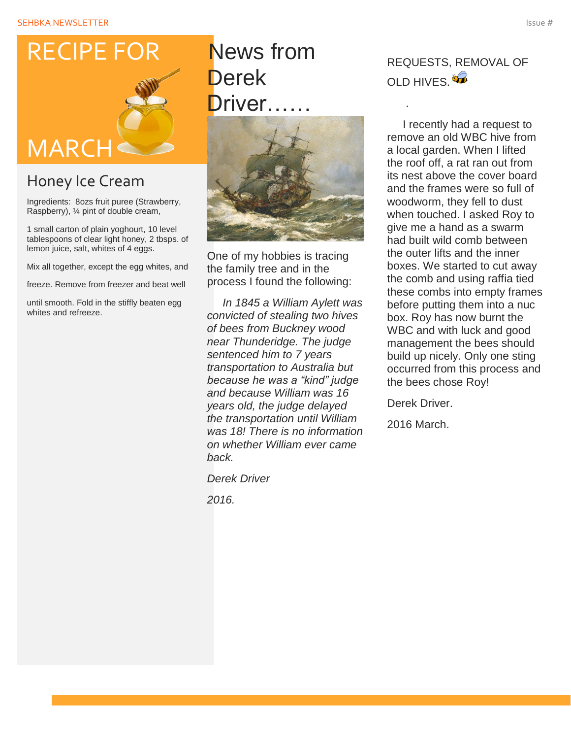## RECIPE FOR



### Honey Ice Cream

Ingredients: 8ozs fruit puree (Strawberry, Raspberry), ¼ pint of double cream,

1 small carton of plain yoghourt, 10 level tablespoons of clear light honey, 2 tbsps. of lemon juice, salt, whites of 4 eggs.

Mix all together, except the egg whites, and

freeze. Remove from freezer and beat well

until smooth. Fold in the stiffly beaten egg whites and refreeze.

### News from Derek Driver……



One of my hobbies is tracing the family tree and in the process I found the following:

 *In 1845 a William Aylett was convicted of stealing two hives of bees from Buckney wood near Thunderidge. The judge sentenced him to 7 years transportation to Australia but because he was a "kind" judge and because William was 16 years old, the judge delayed the transportation until William was 18! There is no information on whether William ever came back.*

*Derek Driver* 

*2016.* 

### REQUESTS, REMOVAL OF OLD HIVES.<sup>86</sup>

.

 I recently had a request to remove an old WBC hive from a local garden. When I lifted the roof off, a rat ran out from its nest above the cover board and the frames were so full of woodworm, they fell to dust when touched. I asked Roy to give me a hand as a swarm had built wild comb between the outer lifts and the inner boxes. We started to cut away the comb and using raffia tied these combs into empty frames before putting them into a nuc box. Roy has now burnt the WBC and with luck and good management the bees should build up nicely. Only one sting occurred from this process and the bees chose Roy!

Derek Driver.

2016 March.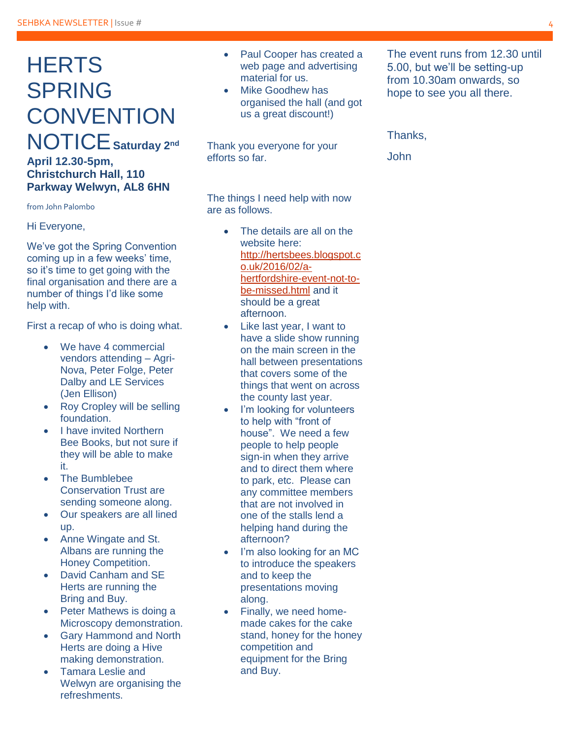### **HERTS** SPRING **CONVENTION** NOTICE**Saturday 2nd April 12.30-5pm, Christchurch Hall, 110**

**Parkway Welwyn, AL8 6HN** 

from John Palombo

Hi Everyone,

We've got the Spring Convention coming up in a few weeks' time, so it's time to get going with the final organisation and there are a number of things I'd like some help with.

First a recap of who is doing what.

- We have 4 commercial vendors attending – Agri-Nova, Peter Folge, Peter Dalby and LE Services (Jen Ellison)
- Roy Cropley will be selling foundation.
- I have invited Northern Bee Books, but not sure if they will be able to make it.
- The Bumblebee Conservation Trust are sending someone along.
- Our speakers are all lined up.
- Anne Wingate and St. Albans are running the Honey Competition.
- David Canham and SE Herts are running the Bring and Buy.
- Peter Mathews is doing a Microscopy demonstration.
- Gary Hammond and North Herts are doing a Hive making demonstration.
- Tamara Leslie and Welwyn are organising the refreshments.
- Paul Cooper has created a web page and advertising material for us.
- Mike Goodhew has organised the hall (and got us a great discount!)

Thank you everyone for your efforts so far.

The things I need help with now are as follows.

- The details are all on the website here: [http://hertsbees.blogspot.c](http://hertsbees.blogspot.co.uk/2016/02/a-hertfordshire-event-not-to-be-missed.html) [o.uk/2016/02/a](http://hertsbees.blogspot.co.uk/2016/02/a-hertfordshire-event-not-to-be-missed.html)[hertfordshire-event-not-to](http://hertsbees.blogspot.co.uk/2016/02/a-hertfordshire-event-not-to-be-missed.html)[be-missed.html](http://hertsbees.blogspot.co.uk/2016/02/a-hertfordshire-event-not-to-be-missed.html) and it should be a great afternoon.
- Like last year, I want to have a slide show running on the main screen in the hall between presentations that covers some of the things that went on across the county last year.
- I'm looking for volunteers to help with "front of house". We need a few people to help people sign-in when they arrive and to direct them where to park, etc. Please can any committee members that are not involved in one of the stalls lend a helping hand during the afternoon?
- I'm also looking for an MC to introduce the speakers and to keep the presentations moving along.
- Finally, we need homemade cakes for the cake stand, honey for the honey competition and equipment for the Bring and Buy.

The event runs from 12.30 until 5.00, but we'll be setting-up from 10.30am onwards, so hope to see you all there.

#### Thanks,

John